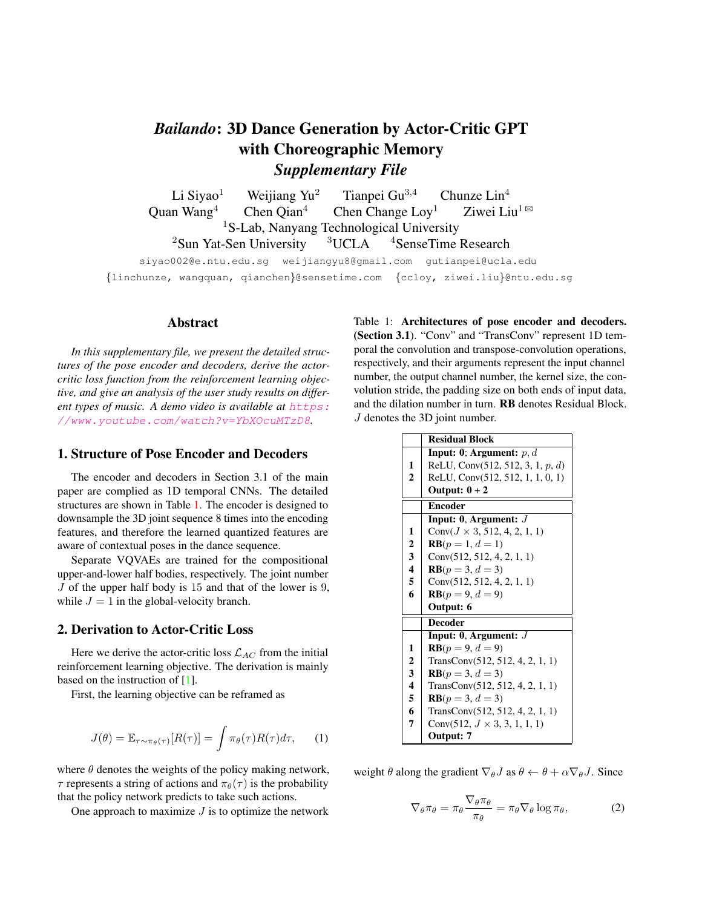# *Bailando*: 3D Dance Generation by Actor-Critic GPT with Choreographic Memory *Supplementary File*

Li Siyao<sup>1</sup> Weijiang Yu<sup>2</sup> Tianpei Gu<sup>3,4</sup> Chunze Lin<sup>4</sup> Quan Wang<sup>4</sup> Chen Qian<sup>4</sup> Chen Change Loy<sup>1</sup> Ziwei Liu<sup>1 $\boxtimes$ </sup> <sup>1</sup>S-Lab, Nanyang Technological University<br>Sen University  $3UCLA$ <sup>4</sup>SenseTime  ${}^{2}$ Sun Yat-Sen University  ${}^{3}$ UCLA  ${}^{4}$ SenseTime Research

siyao002@e.ntu.edu.sg weijiangyu8@gmail.com gutianpei@ucla.edu {linchunze, wangquan, qianchen}@sensetime.com {ccloy, ziwei.liu}@ntu.edu.sg

#### Abstract

*In this supplementary file, we present the detailed structures of the pose encoder and decoders, derive the actorcritic loss function from the reinforcement learning objective, and give an analysis of the user study results on different types of music. A demo video is available at https:* //www.youtube.com/watch?v=YbXOcuMTzD8*.*

#### 1. Structure of Pose Encoder and Decoders

The encoder and decoders in Section 3.1 of the main paper are complied as 1D temporal CNNs. The detailed structures are shown in Table 1. The encoder is designed to downsample the 3D joint sequence 8 times into the encoding features, and therefore the learned quantized features are aware of contextual poses in the dance sequence.

Separate VQVAEs are trained for the compositional upper-and-lower half bodies, respectively. The joint number J of the upper half body is 15 and that of the lower is 9, while  $J = 1$  in the global-velocity branch.

#### 2. Derivation to Actor-Critic Loss

Here we derive the actor-critic loss  $\mathcal{L}_{AC}$  from the initial reinforcement learning objective. The derivation is mainly based on the instruction of [1].

First, the learning objective can be reframed as

$$
J(\theta) = \mathbb{E}_{\tau \sim \pi_{\theta}(\tau)}[R(\tau)] = \int \pi_{\theta}(\tau)R(\tau)d\tau, \qquad (1)
$$

where  $\theta$  denotes the weights of the policy making network,  $\tau$  represents a string of actions and  $\pi_{\theta}(\tau)$  is the probability that the policy network predicts to take such actions.

One approach to maximize  $J$  is to optimize the network

Table 1: Architectures of pose encoder and decoders. (Section 3.1). "Conv" and "TransConv" represent 1D temporal the convolution and transpose-convolution operations, respectively, and their arguments represent the input channel number, the output channel number, the kernel size, the convolution stride, the padding size on both ends of input data, and the dilation number in turn. RB denotes Residual Block. J denotes the 3D joint number.

|                         | <b>Residual Block</b>                |
|-------------------------|--------------------------------------|
|                         | <b>Input: 0; Argument:</b> $p, d$    |
| 1                       | ReLU, Conv $(512, 512, 3, 1, p, d)$  |
| $\overline{2}$          | ReLU, Conv(512, 512, 1, 1, 0, 1)     |
|                         | Output: $0+2$                        |
|                         | <b>Encoder</b>                       |
|                         | Input: $0$ , Argument: $J$           |
| 1                       | Conv $(J \times 3, 512, 4, 2, 1, 1)$ |
| 2                       | $RB(p = 1, d = 1)$                   |
| 3                       | Conv $(512, 512, 4, 2, 1, 1)$        |
| $\overline{\mathbf{4}}$ | $RB(p = 3, d = 3)$                   |
| 5                       | Conv $(512, 512, 4, 2, 1, 1)$        |
| 6                       | $RB(p = 9, d = 9)$                   |
|                         | Output: 6                            |
|                         | <b>Decoder</b>                       |
|                         | Input: $0$ , Argument: $J$           |
| 1                       | $RB(p = 9, d = 9)$                   |
| $\mathbf{2}$            | TransConv(512, 512, 4, 2, 1, 1)      |
| 3                       | $RB(p = 3, d = 3)$                   |
| 4                       | TransConv(512, 512, 4, 2, 1, 1)      |
| 5                       | $RB(p = 3, d = 3)$                   |
| 6                       | TransConv(512, 512, 4, 2, 1, 1)      |
| 7                       | Conv $(512, J \times 3, 3, 1, 1, 1)$ |
|                         | Output: 7                            |

weight  $\theta$  along the gradient  $\nabla_{\theta} J$  as  $\theta \leftarrow \theta + \alpha \nabla_{\theta} J$ . Since

$$
\nabla_{\theta}\pi_{\theta} = \pi_{\theta} \frac{\nabla_{\theta}\pi_{\theta}}{\pi_{\theta}} = \pi_{\theta}\nabla_{\theta}\log\pi_{\theta},\tag{2}
$$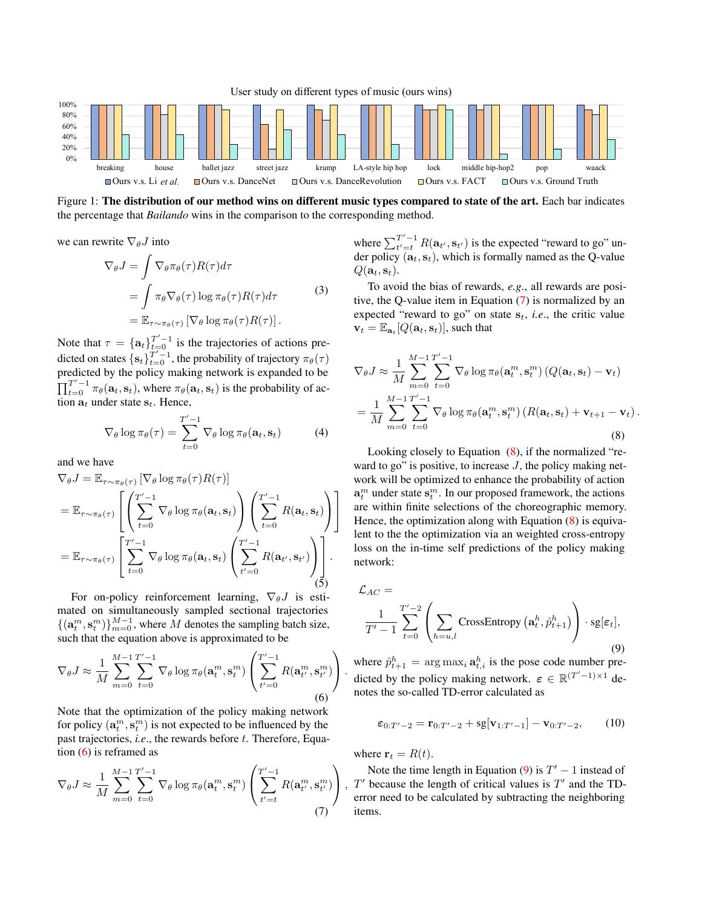

Figure 1: The distribution of our method wins on different music types compared to state of the art. Each bar indicates the percentage that *Bailando* wins in the comparison to the corresponding method.

we can rewrite  $\nabla_{\theta}J$  into

$$
\nabla_{\theta} J = \int \nabla_{\theta} \pi_{\theta}(\tau) R(\tau) d\tau \n= \int \pi_{\theta} \nabla_{\theta}(\tau) \log \pi_{\theta}(\tau) R(\tau) d\tau \n= \mathbb{E}_{\tau \sim \pi_{\theta}(\tau)} [\nabla_{\theta} \log \pi_{\theta}(\tau) R(\tau)].
$$
\n(3)

Note that  $\tau = {\mathbf{a}_t}_{t=0}^{T'-1}$  is the trajectories of actions predicted on states  $\{s_t\}_{t=0}^{T'-1}$ , the probability of trajectory  $\pi_\theta(\tau)$ predicted by the policy making network is expanded to be  $\prod_{t=0}^{T'-1} \pi_{\theta}(\mathbf{a}_t, \mathbf{s}_t)$ , where  $\pi_{\theta}(\mathbf{a}_t, \mathbf{s}_t)$  is the probability of action  $a_t$  under state  $s_t$ . Hence,

$$
\nabla_{\theta} \log \pi_{\theta}(\tau) = \sum_{t=0}^{T'-1} \nabla_{\theta} \log \pi_{\theta}(\mathbf{a}_t, \mathbf{s}_t)
$$
(4)

and we have

$$
\nabla_{\theta} J = \mathbb{E}_{\tau \sim \pi_{\theta}(\tau)} \left[ \nabla_{\theta} \log \pi_{\theta}(\tau) R(\tau) \right]
$$
\n
$$
= \mathbb{E}_{\tau \sim \pi_{\theta}(\tau)} \left[ \left( \sum_{t=0}^{T'-1} \nabla_{\theta} \log \pi_{\theta}(\mathbf{a}_t, \mathbf{s}_t) \right) \left( \sum_{t=0}^{T'-1} R(\mathbf{a}_t, \mathbf{s}_t) \right) \right]
$$
\n
$$
= \mathbb{E}_{\tau \sim \pi_{\theta}(\tau)} \left[ \sum_{t=0}^{T'-1} \nabla_{\theta} \log \pi_{\theta}(\mathbf{a}_t, \mathbf{s}_t) \left( \sum_{t'=0}^{T'-1} R(\mathbf{a}_{t'}, \mathbf{s}_{t'}) \right) \right].
$$
\n(5)

For on-policy reinforcement learning,  $\nabla_{\theta} J$  is estimated on simultaneously sampled sectional trajectories  ${(\{a_t^m, s_t^m)\}_{m=0}^{M-1}}$ , where M denotes the sampling batch size, such that the equation above is approximated to be

$$
\nabla_{\theta} J \approx \frac{1}{M} \sum_{m=0}^{M-1} \sum_{t=0}^{T'-1} \nabla_{\theta} \log \pi_{\theta}(\mathbf{a}_t^m, \mathbf{s}_t^m) \left( \sum_{t'=0}^{T'-1} R(\mathbf{a}_{t'}^m, \mathbf{s}_{t'}^m) \right).
$$
\n(6)

Note that the optimization of the policy making network for policy  $(\mathbf{a}_t^m, \mathbf{s}_t^m)$  is not expected to be influenced by the past trajectories, *i.e.*, the rewards before t. Therefore, Equation (6) is reframed as

$$
\nabla_{\theta} J \approx \frac{1}{M} \sum_{m=0}^{M-1} \sum_{t=0}^{T'-1} \nabla_{\theta} \log \pi_{\theta}(\mathbf{a}_t^m, \mathbf{s}_t^m) \left( \sum_{t'=t}^{T'-1} R(\mathbf{a}_{t'}^m, \mathbf{s}_{t'}^m) \right), \tag{7}
$$

where  $\sum_{t'=t}^{T'-1} R(\mathbf{a}_{t'}, \mathbf{s}_{t'})$  is the expected "reward to go" under policy  $(a_t, s_t)$ , which is formally named as the Q-value  $Q(\mathbf{a}_t, \mathbf{s}_t).$ 

To avoid the bias of rewards, *e.g*., all rewards are positive, the Q-value item in Equation (7) is normalized by an expected "reward to go" on state  $s_t$ , *i.e.*, the critic value  $\mathbf{v}_t = \mathbb{E}_{\mathbf{a}_t}[Q(\mathbf{a}_t, \mathbf{s}_t)],$  such that

$$
\nabla_{\theta} J \approx \frac{1}{M} \sum_{m=0}^{M-1} \sum_{t=0}^{T'-1} \nabla_{\theta} \log \pi_{\theta}(\mathbf{a}_t^m, \mathbf{s}_t^m) (Q(\mathbf{a}_t, \mathbf{s}_t) - \mathbf{v}_t)
$$
  
= 
$$
\frac{1}{M} \sum_{m=0}^{M-1} \sum_{t=0}^{T'-1} \nabla_{\theta} \log \pi_{\theta}(\mathbf{a}_t^m, \mathbf{s}_t^m) (R(\mathbf{a}_t, \mathbf{s}_t) + \mathbf{v}_{t+1} - \mathbf{v}_t).
$$
  
(8)

Looking closely to Equation (8), if the normalized "reward to go" is positive, to increase  $J$ , the policy making network will be optimized to enhance the probability of action  $\mathbf{a}_t^m$  under state  $\mathbf{s}_t^m$ . In our proposed framework, the actions are within finite selections of the choreographic memory. Hence, the optimization along with Equation (8) is equivalent to the the optimization via an weighted cross-entropy loss on the in-time self predictions of the policy making network:

$$
\mathcal{L}_{AC} =
$$

$$
\frac{1}{T'-1} \sum_{t=0}^{T'-2} \left( \sum_{h=u,l} \text{CrossEntropy}\left(\mathbf{a}_t^h, \hat{p}_{t+1}^h\right) \right) \cdot \text{sg}[\varepsilon_t],\tag{9}
$$

where  $\hat{p}_{t+1}^h = \arg \max_i \mathbf{a}_{t,i}^h$  is the pose code number predicted by the policy making network.  $\varepsilon \in \mathbb{R}^{(T'-1)\times 1}$  denotes the so-called TD-error calculated as

$$
\varepsilon_{0:T'-2} = \mathbf{r}_{0:T'-2} + \mathrm{sg}[\mathbf{v}_{1:T'-1}] - \mathbf{v}_{0:T'-2},\qquad(10)
$$

where  $\mathbf{r}_t = R(t)$ .

Note the time length in Equation (9) is  $T' - 1$  instead of  $T'$  because the length of critical values is  $T'$  and the TDerror need to be calculated by subtracting the neighboring items.